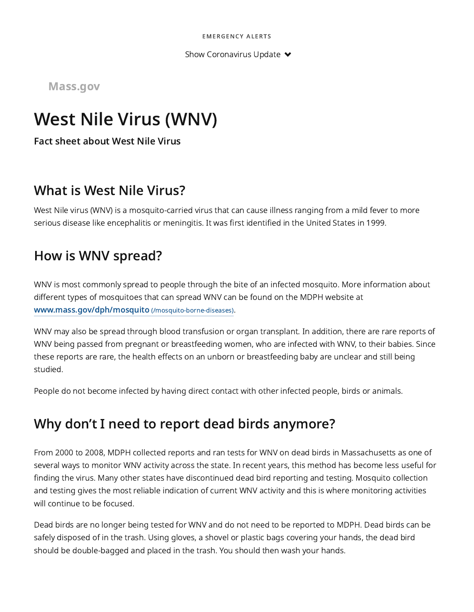Show Coronavirus Update  $\blacktriangleright$ 

Mass.gov

# West Nile Virus (WNV)

Fact sheet about West Nile Virus

#### What is West Nile Virus?

West Nile virus (WNV) is a mosquito-carried virus that can cause illness ranging from a mild fever to more serious disease like encephalitis or meningitis. It was first identified in the United States in 1999.

### How is WNV spread?

WNV is most commonly spread to people through the bite of an infected mosquito. More information about different types of mosquitoes that can spread WNV can be found on the MDPH website at [www.mass.gov/dph/mosquito](https://www.mass.gov/mosquito-borne-diseases) (/mosquito-borne-diseases).

WNV may also be spread through blood transfusion or organ transplant. In addition, there are rare reports of WNV being passed from pregnant or breastfeeding women, who are infected with WNV, to their babies. Since these reports are rare, the health effects on an unborn or breastfeeding baby are unclear and still being studied.

People do not become infected by having direct contact with other infected people, birds or animals.

## Why don't I need to report dead birds anymore?

From 2000 to 2008, MDPH collected reports and ran tests for WNV on dead birds in Massachusetts as one of several ways to monitor WNV activity across the state. In recent years, this method has become less useful for finding the virus. Many other states have discontinued dead bird reporting and testing. Mosquito collection and testing gives the most reliable indication of current WNV activity and this is where monitoring activities will continue to be focused.

Dead birds are no longer being tested for WNV and do not need to be reported to MDPH. Dead birds can be safely disposed of in the trash. Using gloves, a shovel or plastic bags covering your hands, the dead bird should be double-bagged and placed in the trash. You should then wash your hands.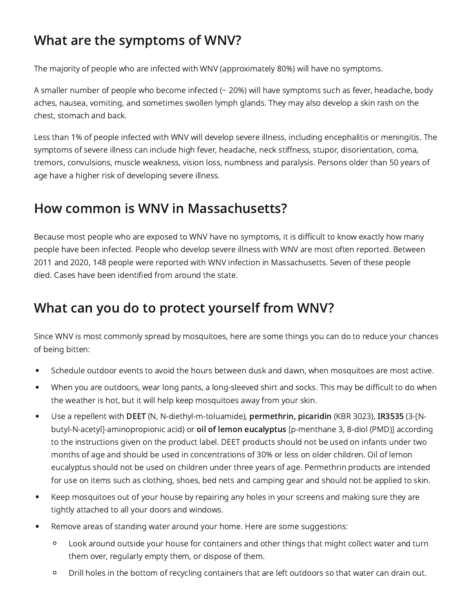## What are the symptoms of WNV?

The majority of people who are infected with WNV (approximately 80%) will have no symptoms.

A smaller number of people who become infected (~ 20%) will have symptoms such as fever, headache, body aches, nausea, vomiting, and sometimes swollen lymph glands. They may also develop a skin rash on the chest, stomach and back.

Less than 1% of people infected with WNV will develop severe illness, including encephalitis or meningitis. The symptoms of severe illness can include high fever, headache, neck stiffness, stupor, disorientation, coma, tremors, convulsions, muscle weakness, vision loss, numbness and paralysis. Persons older than 50 years of age have a higher risk of developing severe illness.

### How common is WNV in Massachusetts?

Because most people who are exposed to WNV have no symptoms, it is difficult to know exactly how many people have been infected. People who develop severe illness with WNV are most often reported. Between 2011 and 2020, 148 people were reported with WNV infection in Massachusetts. Seven of these people died. Cases have been identified from around the state.

### What can you do to protect yourself from WNV?

Since WNV is most commonly spread by mosquitoes, here are some things you can do to reduce your chances of being bitten:

- Schedule outdoor events to avoid the hours between dusk and dawn, when mosquitoes are most active.
- When you are outdoors, wear long pants, a long-sleeved shirt and socks. This may be difficult to do when the weather is hot, but it will help keep mosquitoes away from your skin.
- $\bullet$ Use a repellent with DEET (N, N-diethyl-m-toluamide), permethrin, picaridin (KBR 3023), IR3535 (3-[Nbutyl-N-acetyl]-aminopropionic acid) or oil of lemon eucalyptus [p-menthane 3, 8-diol (PMD)] according to the instructions given on the product label. DEET products should not be used on infants under two months of age and should be used in concentrations of 30% or less on older children. Oil of lemon eucalyptus should not be used on children under three years of age. Permethrin products are intended for use on items such as clothing, shoes, bed nets and camping gear and should not be applied to skin.
- Keep mosquitoes out of your house by repairing any holes in your screens and making sure they are  $\bullet$ tightly attached to all your doors and windows.
- $\bullet$ Remove areas of standing water around your home. Here are some suggestions:
	- $\circ$ Look around outside your house for containers and other things that might collect water and turn them over, regularly empty them, or dispose of them.
	- $\circ$ Drill holes in the bottom of recycling containers that are left outdoors so that water can drain out.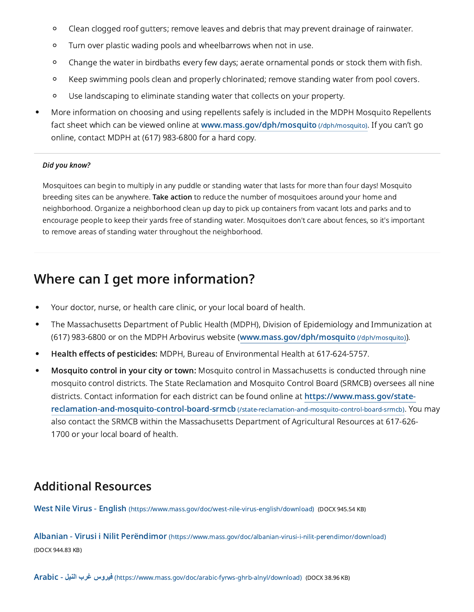- $\circ$ Clean clogged roof gutters; remove leaves and debris that may prevent drainage of rainwater.
- $\circ$ Turn over plastic wading pools and wheelbarrows when not in use.
- Change the water in birdbaths every few days; aerate ornamental ponds or stock them with fish.  $\circ$
- Keep swimming pools clean and properly chlorinated; remove standing water from pool covers.  $\circ$
- $\circ$ Use landscaping to eliminate standing water that collects on your property.
- More information on choosing and using repellents safely is included in the MDPH Mosquito Repellents fact sheet which can be viewed online at [www.mass.gov/dph/mosquito](https://www.mass.gov/dph/mosquito) (/dph/mosquito). If you can't go online, contact MDPH at (617) 983-6800 for a hard copy.

#### Did you know?

Mosquitoes can begin to multiply in any puddle or standing water that lasts for more than four days! Mosquito breeding sites can be anywhere. Take action to reduce the number of mosquitoes around your home and neighborhood. Organize a neighborhood clean up day to pick up containers from vacant lots and parks and to encourage people to keep their yards free of standing water. Mosquitoes don't care about fences, so it's important to remove areas of standing water throughout the neighborhood.

#### Where can I get more information?

- Your doctor, nurse, or health care clinic, or your local board of health.
- The Massachusetts Department of Public Health (MDPH), Division of Epidemiology and Immunization at  $\bullet$ (617) 983-6800 or on the MDPH Arbovirus website [\(www.mass.gov/dph/mosquito](https://www.mass.gov/dph/mosquito) (/dph/mosquito)).
- Health effects of pesticides: MDPH, Bureau of Environmental Health at 617-624-5757.  $\bullet$
- Mosquito control in your city or town: Mosquito control in Massachusetts is conducted through nine mosquito control districts. The State Reclamation and Mosquito Control Board (SRMCB) oversees all nine districts. Contact information for each district can be found online at https://www.mass.gov/state[reclamation-and-mosquito-control-board-srmcb](https://www.mass.gov/state-reclamation-and-mosquito-control-board-srmcb) (/state-reclamation-and-mosquito-control-board-srmcb). You may also contact the SRMCB within the Massachusetts Department of Agricultural Resources at 617-626- 1700 or your local board of health.

#### Additional Resources

West Nile Virus - English [\(https://www.mass.gov/doc/west-nile-virus-english/download\)](https://www.mass.gov/doc/west-nile-virus-english/download) (DOCX 945.54 KB)

Albanian - Virusi i Nilit Perëndimor [\(https://www.mass.gov/doc/albanian-virusi-i-nilit-perendimor/download\)](https://www.mass.gov/doc/albanian-virusi-i-nilit-perendimor/download) (DOCX 944.83 KB)